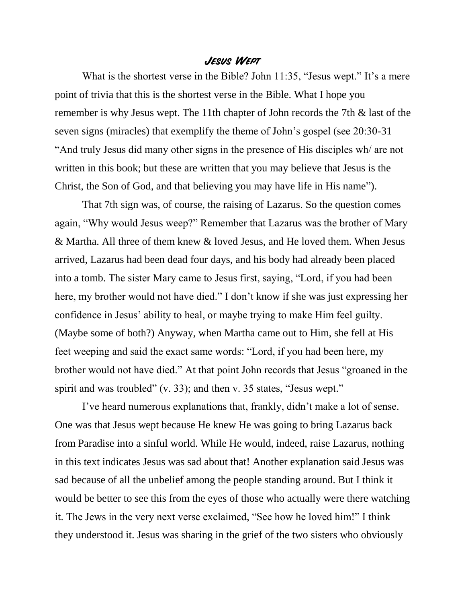## **Jesus Wept**

What is the shortest verse in the Bible? John 11:35, "Jesus wept." It's a mere point of trivia that this is the shortest verse in the Bible. What I hope you remember is why Jesus wept. The 11th chapter of John records the 7th & last of the seven signs (miracles) that exemplify the theme of John's gospel (see 20:30-31 "And truly Jesus did many other signs in the presence of His disciples wh/ are not written in this book; but these are written that you may believe that Jesus is the Christ, the Son of God, and that believing you may have life in His name").

That 7th sign was, of course, the raising of Lazarus. So the question comes again, "Why would Jesus weep?" Remember that Lazarus was the brother of Mary & Martha. All three of them knew & loved Jesus, and He loved them. When Jesus arrived, Lazarus had been dead four days, and his body had already been placed into a tomb. The sister Mary came to Jesus first, saying, "Lord, if you had been here, my brother would not have died." I don't know if she was just expressing her confidence in Jesus' ability to heal, or maybe trying to make Him feel guilty. (Maybe some of both?) Anyway, when Martha came out to Him, she fell at His feet weeping and said the exact same words: "Lord, if you had been here, my brother would not have died." At that point John records that Jesus "groaned in the spirit and was troubled" (v. 33); and then v. 35 states, "Jesus wept."

I've heard numerous explanations that, frankly, didn't make a lot of sense. One was that Jesus wept because He knew He was going to bring Lazarus back from Paradise into a sinful world. While He would, indeed, raise Lazarus, nothing in this text indicates Jesus was sad about that! Another explanation said Jesus was sad because of all the unbelief among the people standing around. But I think it would be better to see this from the eyes of those who actually were there watching it. The Jews in the very next verse exclaimed, "See how he loved him!" I think they understood it. Jesus was sharing in the grief of the two sisters who obviously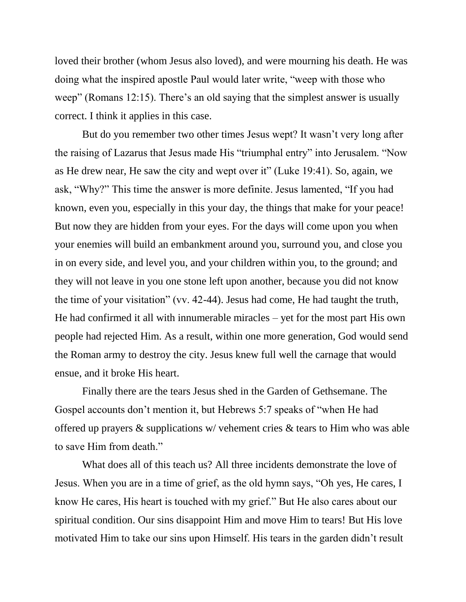loved their brother (whom Jesus also loved), and were mourning his death. He was doing what the inspired apostle Paul would later write, "weep with those who weep" (Romans 12:15). There's an old saying that the simplest answer is usually correct. I think it applies in this case.

But do you remember two other times Jesus wept? It wasn't very long after the raising of Lazarus that Jesus made His "triumphal entry" into Jerusalem. "Now as He drew near, He saw the city and wept over it" (Luke 19:41). So, again, we ask, "Why?" This time the answer is more definite. Jesus lamented, "If you had known, even you, especially in this your day, the things that make for your peace! But now they are hidden from your eyes. For the days will come upon you when your enemies will build an embankment around you, surround you, and close you in on every side, and level you, and your children within you, to the ground; and they will not leave in you one stone left upon another, because you did not know the time of your visitation" (vv. 42-44). Jesus had come, He had taught the truth, He had confirmed it all with innumerable miracles – yet for the most part His own people had rejected Him. As a result, within one more generation, God would send the Roman army to destroy the city. Jesus knew full well the carnage that would ensue, and it broke His heart.

Finally there are the tears Jesus shed in the Garden of Gethsemane. The Gospel accounts don't mention it, but Hebrews 5:7 speaks of "when He had offered up prayers & supplications w/ vehement cries & tears to Him who was able to save Him from death."

What does all of this teach us? All three incidents demonstrate the love of Jesus. When you are in a time of grief, as the old hymn says, "Oh yes, He cares, I know He cares, His heart is touched with my grief." But He also cares about our spiritual condition. Our sins disappoint Him and move Him to tears! But His love motivated Him to take our sins upon Himself. His tears in the garden didn't result